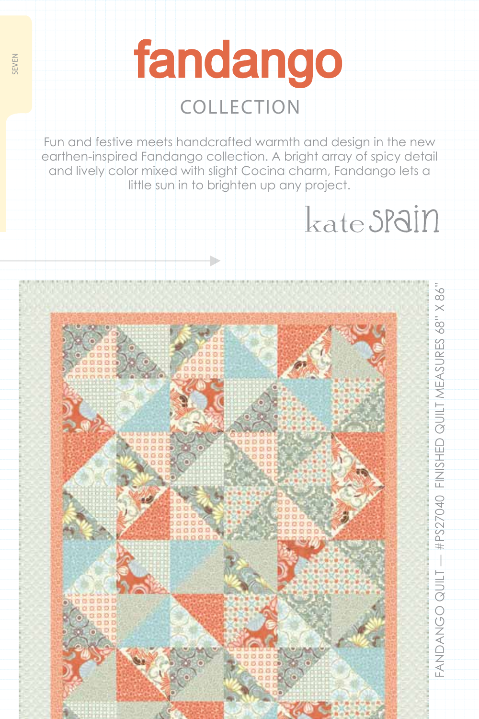# fandango collection

seven

Fun and festive meets handcrafted warmth and design in the new earthen-inspired Fandango collection. A bright array of spicy detail and lively color mixed with slight Cocina charm, Fandango lets a little sun in to brighten up any project.

kate SPain

Fandango QUILT

— #PS27040 FI

FANDANGO QUILT — #PS27040 FINISHED QUILT MEASURES 68" X 86"

D QUILT ME

ASURES 68" X 86"

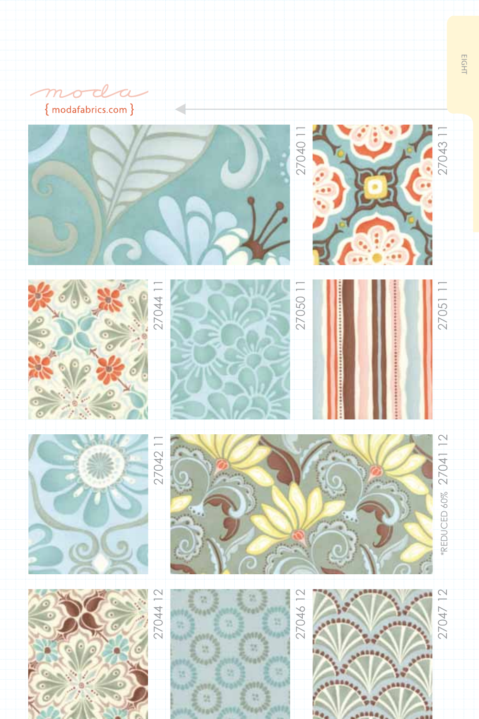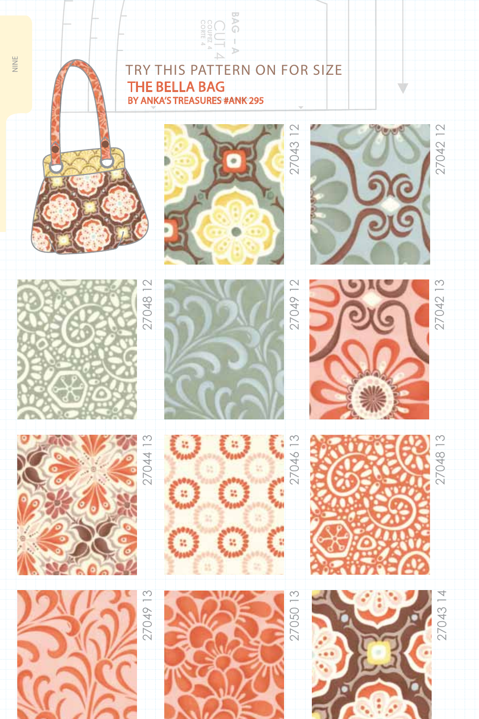## Try this pat tern on for size the bella bag **be a second track of the second track of the angle of the angle 4**<br> **CORP THIS PATTERN C**<br> **CORTER 44 CUT 4 ANK 295**<br>
BY ANKA'S TREASURES #ANK 295 **BY ANKA'S TREASURES #ANK 295**



nine













27049 13

27049 13





27049 12

11













27048 13

27042 13

27042 12

27042

 $\overline{C}$ 

Ú

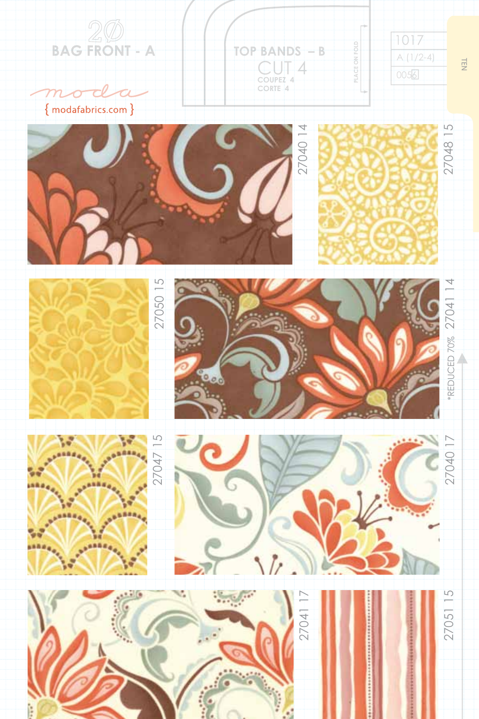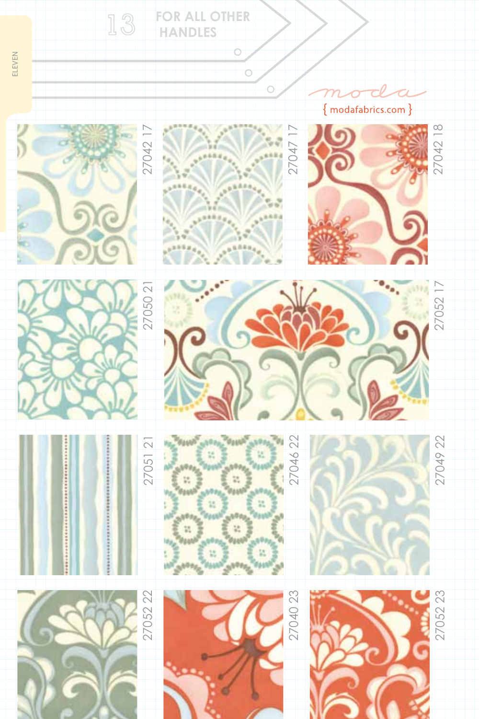